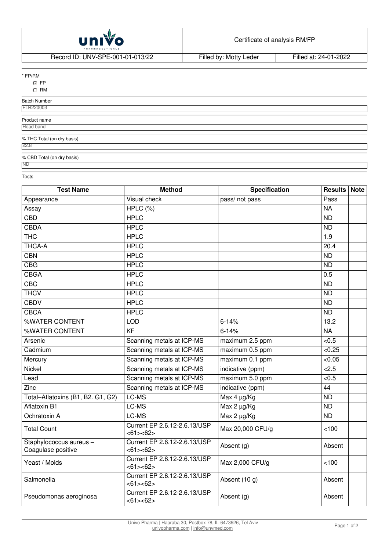

Record ID: UNV-SPE-001-01-013/22 Filled by: Motty Leder Filled at: 24-01-2022

\* FP/RM

**O**FP

 $\circ$  RM

Batch Number

FLR220003

Product name

**Head band** 

% THC Total (on dry basis)

22.8

% CBD Total (on dry basis) ND

Tests

| <b>Test Name</b>                              | <b>Method</b>                            | <b>Specification</b> | <b>Results Note</b> |  |
|-----------------------------------------------|------------------------------------------|----------------------|---------------------|--|
| Appearance                                    | Visual check                             | pass/ not pass       | Pass                |  |
| Assay                                         | HPLC (%)                                 |                      | <b>NA</b>           |  |
| <b>CBD</b>                                    | <b>HPLC</b>                              |                      | $\overline{ND}$     |  |
| <b>CBDA</b>                                   | <b>HPLC</b>                              |                      | <b>ND</b>           |  |
| <b>THC</b>                                    | <b>HPLC</b>                              |                      | 1.9                 |  |
| <b>THCA-A</b>                                 | <b>HPLC</b>                              |                      | 20.4                |  |
| <b>CBN</b>                                    | <b>HPLC</b>                              |                      | ND                  |  |
| CBG                                           | <b>HPLC</b>                              |                      | <b>ND</b>           |  |
| <b>CBGA</b>                                   | <b>HPLC</b>                              |                      | 0.5                 |  |
| <b>CBC</b>                                    | <b>HPLC</b>                              |                      | $\overline{ND}$     |  |
| <b>THCV</b>                                   | <b>HPLC</b>                              |                      | $\overline{ND}$     |  |
| <b>CBDV</b>                                   | <b>HPLC</b>                              |                      | ND                  |  |
| <b>CBCA</b>                                   | <b>HPLC</b>                              |                      | $\overline{ND}$     |  |
| %WATER CONTENT                                | <b>LOD</b>                               | $6 - 14%$            | 13.2                |  |
| %WATER CONTENT                                | $\overline{KF}$                          | $6 - 14%$            | <b>NA</b>           |  |
| Arsenic                                       | Scanning metals at ICP-MS                | maximum 2.5 ppm      | < 0.5               |  |
| Cadmium                                       | Scanning metals at ICP-MS                | maximum 0.5 ppm      | < 0.25              |  |
| Mercury                                       | Scanning metals at ICP-MS                | maximum 0.1 ppm      | < 0.05              |  |
| Nickel                                        | Scanning metals at ICP-MS                | indicative (ppm)     | 2.5                 |  |
| Lead                                          | Scanning metals at ICP-MS                | maximum 5.0 ppm      | < 0.5               |  |
| Zinc                                          | Scanning metals at ICP-MS                | indicative (ppm)     | $\overline{44}$     |  |
| Total-Aflatoxins (B1, B2. G1, G2)             | LC-MS                                    | Max 4 µg/Kg          | $\overline{ND}$     |  |
| <b>Aflatoxin B1</b>                           | LC-MS                                    | Max 2 µg/Kg          | <b>ND</b>           |  |
| Ochratoxin A                                  | LC-MS                                    | Max 2 µg/Kg          | $\overline{ND}$     |  |
| <b>Total Count</b>                            | Current EP 2.6.12-2.6.13/USP<br><61><62> | Max 20,000 CFU/g     | 100                 |  |
| Staphylococcus aureus -<br>Coagulase positive | Current EP 2.6.12-2.6.13/USP<br><61><62> | Absent (g)           | Absent              |  |
| Yeast / Molds                                 | Current EP 2.6.12-2.6.13/USP<br><61><62> | Max 2,000 CFU/g      | 100                 |  |
| Salmonella                                    | Current EP 2.6.12-2.6.13/USP<br><61><62> | Absent (10 g)        | Absent              |  |
| Pseudomonas aeroginosa                        | Current EP 2.6.12-2.6.13/USP<br><61><62> | Absent (g)           | Absent              |  |